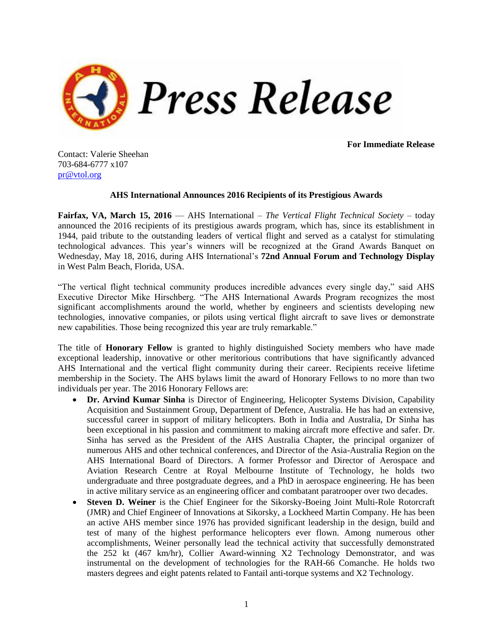

**For Immediate Release**

Contact: Valerie Sheehan 703-684-6777 x107 [pr@vtol.org](mailto:pr@vtol.org)

## **AHS International Announces 2016 Recipients of its Prestigious Awards**

**Fairfax, VA, March 15, 2016** — AHS International – *The Vertical Flight Technical Society* – today announced the 2016 recipients of its prestigious awards program, which has, since its establishment in 1944, paid tribute to the outstanding leaders of vertical flight and served as a catalyst for stimulating technological advances. This year's winners will be recognized at the Grand Awards Banquet on Wednesday, May 18, 2016, during AHS International's **72nd Annual Forum and Technology Display** in West Palm Beach, Florida, USA.

"The vertical flight technical community produces incredible advances every single day," said AHS Executive Director Mike Hirschberg. "The AHS International Awards Program recognizes the most significant accomplishments around the world, whether by engineers and scientists developing new technologies, innovative companies, or pilots using vertical flight aircraft to save lives or demonstrate new capabilities. Those being recognized this year are truly remarkable."

The title of **Honorary Fellow** is granted to highly distinguished Society members who have made exceptional leadership, innovative or other meritorious contributions that have significantly advanced AHS International and the vertical flight community during their career. Recipients receive lifetime membership in the Society. The AHS bylaws limit the award of Honorary Fellows to no more than two individuals per year. The 2016 Honorary Fellows are:

- **Dr. Arvind Kumar Sinha** is Director of Engineering, Helicopter Systems Division, Capability Acquisition and Sustainment Group, Department of Defence, Australia. He has had an extensive, successful career in support of military helicopters. Both in India and Australia, Dr Sinha has been exceptional in his passion and commitment to making aircraft more effective and safer. Dr. Sinha has served as the President of the AHS Australia Chapter, the principal organizer of numerous AHS and other technical conferences, and Director of the Asia-Australia Region on the AHS International Board of Directors. A former Professor and Director of Aerospace and Aviation Research Centre at Royal Melbourne Institute of Technology, he holds two undergraduate and three postgraduate degrees, and a PhD in aerospace engineering. He has been in active military service as an engineering officer and combatant paratrooper over two decades.
- **Steven D. Weiner** is the Chief Engineer for the Sikorsky-Boeing Joint Multi-Role Rotorcraft (JMR) and Chief Engineer of Innovations at Sikorsky, a Lockheed Martin Company. He has been an active AHS member since 1976 has provided significant leadership in the design, build and test of many of the highest performance helicopters ever flown. Among numerous other accomplishments, Weiner personally lead the technical activity that successfully demonstrated the 252 kt (467 km/hr), Collier Award-winning X2 Technology Demonstrator, and was instrumental on the development of technologies for the RAH-66 Comanche. He holds two masters degrees and eight patents related to Fantail anti-torque systems and X2 Technology.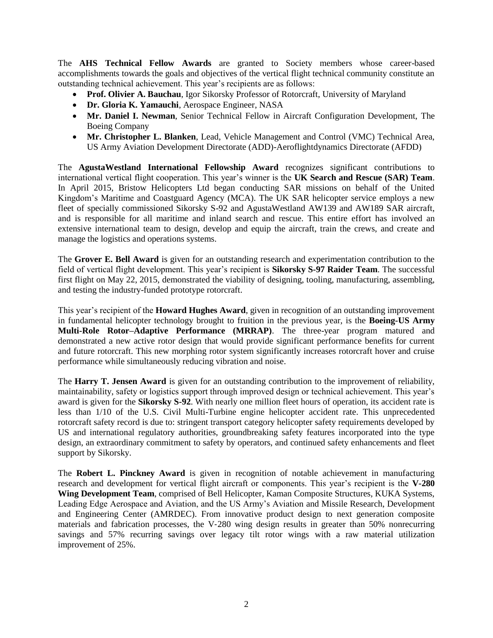The **AHS Technical Fellow Awards** are granted to Society members whose career-based accomplishments towards the goals and objectives of the vertical flight technical community constitute an outstanding technical achievement. This year's recipients are as follows:

- **Prof. Olivier A. Bauchau**, Igor Sikorsky Professor of Rotorcraft, University of Maryland
- **Dr. Gloria K. Yamauchi**, Aerospace Engineer, NASA
- **Mr. Daniel I. Newman**, Senior Technical Fellow in Aircraft Configuration Development, The Boeing Company
- **Mr. Christopher L. Blanken**, Lead, Vehicle Management and Control (VMC) Technical Area, US Army Aviation Development Directorate (ADD)-Aeroflightdynamics Directorate (AFDD)

The **AgustaWestland International Fellowship Award** recognizes significant contributions to international vertical flight cooperation. This year's winner is the **UK Search and Rescue (SAR) Team**. In April 2015, Bristow Helicopters Ltd began conducting SAR missions on behalf of the United Kingdom's Maritime and Coastguard Agency (MCA). The UK SAR helicopter service employs a new fleet of specially commissioned Sikorsky S-92 and AgustaWestland AW139 and AW189 SAR aircraft, and is responsible for all maritime and inland search and rescue. This entire effort has involved an extensive international team to design, develop and equip the aircraft, train the crews, and create and manage the logistics and operations systems.

The **Grover E. Bell Award** is given for an outstanding research and experimentation contribution to the field of vertical flight development. This year's recipient is **Sikorsky S-97 Raider Team**. The successful first flight on May 22, 2015, demonstrated the viability of designing, tooling, manufacturing, assembling, and testing the industry-funded prototype rotorcraft.

This year's recipient of the **Howard Hughes Award**, given in recognition of an outstanding improvement in fundamental helicopter technology brought to fruition in the previous year, is the **Boeing-US Army Multi-Role Rotor–Adaptive Performance (MRRAP)**. The three-year program matured and demonstrated a new active rotor design that would provide significant performance benefits for current and future rotorcraft. This new morphing rotor system significantly increases rotorcraft hover and cruise performance while simultaneously reducing vibration and noise.

The **Harry T. Jensen Award** is given for an outstanding contribution to the improvement of reliability, maintainability, safety or logistics support through improved design or technical achievement. This year's award is given for the **Sikorsky S-92**. With nearly one million fleet hours of operation, its accident rate is less than 1/10 of the U.S. Civil Multi-Turbine engine helicopter accident rate. This unprecedented rotorcraft safety record is due to: stringent transport category helicopter safety requirements developed by US and international regulatory authorities, groundbreaking safety features incorporated into the type design, an extraordinary commitment to safety by operators, and continued safety enhancements and fleet support by Sikorsky.

The **Robert L. Pinckney Award** is given in recognition of notable achievement in manufacturing research and development for vertical flight aircraft or components. This year's recipient is the **V-280 Wing Development Team**, comprised of Bell Helicopter, Kaman Composite Structures, KUKA Systems, Leading Edge Aerospace and Aviation, and the US Army's Aviation and Missile Research, Development and Engineering Center (AMRDEC). From innovative product design to next generation composite materials and fabrication processes, the V-280 wing design results in greater than 50% nonrecurring savings and 57% recurring savings over legacy tilt rotor wings with a raw material utilization improvement of 25%.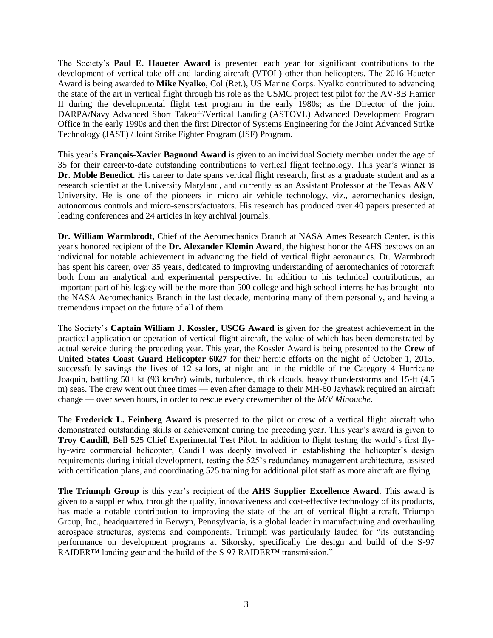The Society's **Paul E. Haueter Award** is presented each year for significant contributions to the development of vertical take-off and landing aircraft (VTOL) other than helicopters. The 2016 Haueter Award is being awarded to **Mike Nyalko**, Col (Ret.), US Marine Corps. Nyalko contributed to advancing the state of the art in vertical flight through his role as the USMC project test pilot for the AV-8B Harrier II during the developmental flight test program in the early 1980s; as the Director of the joint DARPA/Navy Advanced Short Takeoff/Vertical Landing (ASTOVL) Advanced Development Program Office in the early 1990s and then the first Director of Systems Engineering for the Joint Advanced Strike Technology (JAST) / Joint Strike Fighter Program (JSF) Program.

This year's **François-Xavier Bagnoud Award** is given to an individual Society member under the age of 35 for their career-to-date outstanding contributions to vertical flight technology. This year's winner is **Dr. Moble Benedict**. His career to date spans vertical flight research, first as a graduate student and as a research scientist at the University Maryland, and currently as an Assistant Professor at the Texas A&M University. He is one of the pioneers in micro air vehicle technology, viz., aeromechanics design, autonomous controls and micro-sensors/actuators. His research has produced over 40 papers presented at leading conferences and 24 articles in key archival journals.

**Dr. William Warmbrodt**, Chief of the Aeromechanics Branch at NASA Ames Research Center, is this year's honored recipient of the **Dr. Alexander Klemin Award**, the highest honor the AHS bestows on an individual for notable achievement in advancing the field of vertical flight aeronautics. Dr. Warmbrodt has spent his career, over 35 years, dedicated to improving understanding of aeromechanics of rotorcraft both from an analytical and experimental perspective. In addition to his technical contributions, an important part of his legacy will be the more than 500 college and high school interns he has brought into the NASA Aeromechanics Branch in the last decade, mentoring many of them personally, and having a tremendous impact on the future of all of them.

The Society's **Captain William J. Kossler, USCG Award** is given for the greatest achievement in the practical application or operation of vertical flight aircraft, the value of which has been demonstrated by actual service during the preceding year. This year, the Kossler Award is being presented to the **Crew of United States Coast Guard Helicopter 6027** for their heroic efforts on the night of October 1, 2015, successfully savings the lives of 12 sailors, at night and in the middle of the Category 4 Hurricane Joaquin, battling 50+ kt (93 km/hr) winds, turbulence, thick clouds, heavy thunderstorms and 15-ft (4.5 m) seas. The crew went out three times — even after damage to their MH-60 Jayhawk required an aircraft change — over seven hours, in order to rescue every crewmember of the *M/V Minouche*.

The **Frederick L. Feinberg Award** is presented to the pilot or crew of a vertical flight aircraft who demonstrated outstanding skills or achievement during the preceding year. This year's award is given to **Troy Caudill**, Bell 525 Chief Experimental Test Pilot. In addition to flight testing the world's first flyby-wire commercial helicopter, Caudill was deeply involved in establishing the helicopter's design requirements during initial development, testing the 525's redundancy management architecture, assisted with certification plans, and coordinating 525 training for additional pilot staff as more aircraft are flying.

**The Triumph Group** is this year's recipient of the **AHS Supplier Excellence Award**. This award is given to a supplier who, through the quality, innovativeness and cost-effective technology of its products, has made a notable contribution to improving the state of the art of vertical flight aircraft. Triumph Group, Inc., headquartered in Berwyn, Pennsylvania, is a global leader in manufacturing and overhauling aerospace structures, systems and components. Triumph was particularly lauded for "its outstanding performance on development programs at Sikorsky, specifically the design and build of the S-97 RAIDER™ landing gear and the build of the S-97 RAIDER™ transmission."